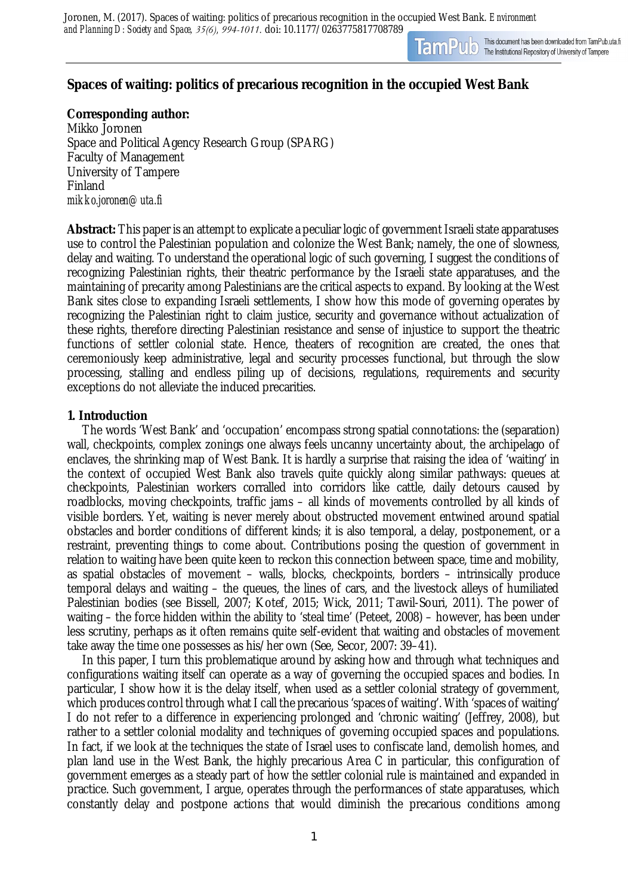This document has been downloaded from TamPub.uta.fi TamPub. This document has been downloaded from TamPub.<br>The Institutional Repository of University of Tampere

## **Spaces of waiting: politics of precarious recognition in the occupied West Bank**

**Corresponding author:** Mikko Joronen Space and Political Agency Research Group (SPARG) Faculty of Management University of Tampere Finland *mikko.joronen@uta.fi*

**Abstract:** This paper is an attempt to explicate a peculiar logic of government Israeli state apparatuses use to control the Palestinian population and colonize the West Bank; namely, the one of slowness, delay and waiting. To understand the operational logic of such governing, I suggest the conditions of recognizing Palestinian rights, their theatric performance by the Israeli state apparatuses, and the maintaining of precarity among Palestinians are the critical aspects to expand. By looking at the West Bank sites close to expanding Israeli settlements, I show how this mode of governing operates by recognizing the Palestinian right to claim justice, security and governance without actualization of these rights, therefore directing Palestinian resistance and sense of injustice to support the theatric functions of settler colonial state. Hence, theaters of recognition are created, the ones that ceremoniously keep administrative, legal and security processes functional, but through the slow processing, stalling and endless piling up of decisions, regulations, requirements and security exceptions do not alleviate the induced precarities.

#### **1. Introduction**

The words 'West Bank' and 'occupation' encompass strong spatial connotations: the (separation) wall, checkpoints, complex zonings one always feels uncanny uncertainty about, the archipelago of enclaves, the shrinking map of West Bank. It is hardly a surprise that raising the idea of 'waiting' in the context of occupied West Bank also travels quite quickly along similar pathways: queues at checkpoints, Palestinian workers corralled into corridors like cattle, daily detours caused by roadblocks, moving checkpoints, traffic jams – all kinds of movements controlled by all kinds of visible borders. Yet, waiting is never merely about obstructed movement entwined around spatial obstacles and border conditions of different kinds; it is also temporal, a delay, postponement, or a restraint, preventing things to come about. Contributions posing the question of government in relation to waiting have been quite keen to reckon this connection between space, time and mobility, as spatial obstacles of movement – walls, blocks, checkpoints, borders – intrinsically produce temporal delays and waiting – the queues, the lines of cars, and the livestock alleys of humiliated Palestinian bodies (see Bissell, 2007; Kotef, 2015; Wick, 2011; Tawil-Souri, 2011). The power of waiting – the force hidden within the ability to 'steal time' (Peteet, 2008) – however, has been under less scrutiny, perhaps as it often remains quite self-evident that waiting and obstacles of movement take away the time one possesses as his/her own (See, Secor, 2007: 39–41).

In this paper, I turn this problematique around by asking how and through what techniques and configurations waiting itself can operate as a way of governing the occupied spaces and bodies. In particular, I show how it is the delay itself, when used as a settler colonial strategy of government, which produces control through what I call the precarious 'spaces of waiting'. With 'spaces of waiting' I do not refer to a difference in experiencing prolonged and 'chronic waiting' (Jeffrey, 2008), but rather to a settler colonial modality and techniques of governing occupied spaces and populations. In fact, if we look at the techniques the state of Israel uses to confiscate land, demolish homes, and plan land use in the West Bank, the highly precarious Area C in particular, this configuration of government emerges as a steady part of how the settler colonial rule is maintained and expanded in practice. Such government, I argue, operates through the performances of state apparatuses, which constantly delay and postpone actions that would diminish the precarious conditions among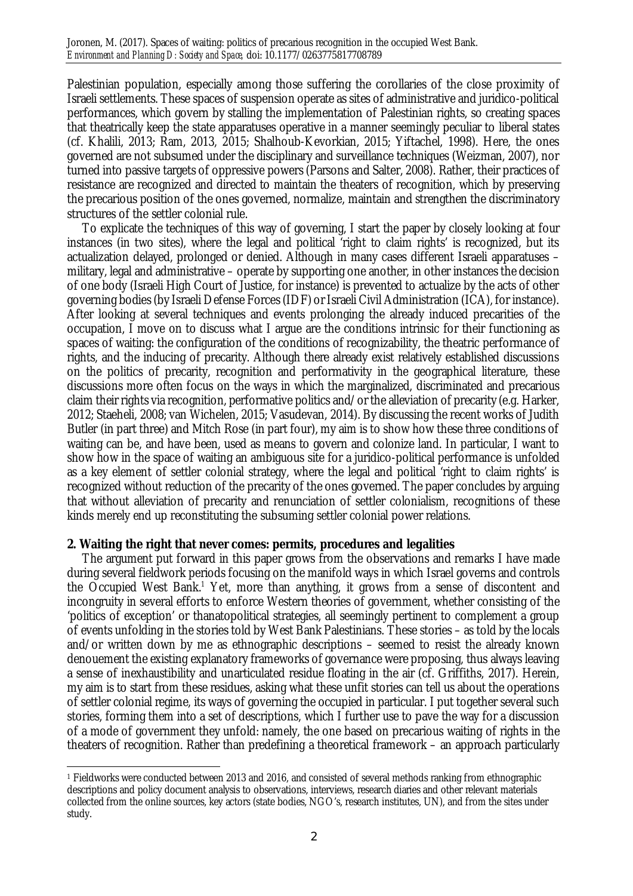Palestinian population, especially among those suffering the corollaries of the close proximity of Israeli settlements. These spaces of suspension operate as sites of administrative and juridico-political performances, which govern by stalling the implementation of Palestinian rights, so creating spaces that theatrically keep the state apparatuses operative in a manner seemingly peculiar to liberal states (cf. Khalili, 2013; Ram, 2013, 2015; Shalhoub-Kevorkian, 2015; Yiftachel, 1998). Here, the ones governed are not subsumed under the disciplinary and surveillance techniques (Weizman, 2007), nor turned into passive targets of oppressive powers (Parsons and Salter, 2008). Rather, their practices of resistance are recognized and directed to maintain the theaters of recognition, which by preserving the precarious position of the ones governed, normalize, maintain and strengthen the discriminatory structures of the settler colonial rule.

To explicate the techniques of this way of governing, I start the paper by closely looking at four instances (in two sites), where the legal and political 'right to claim rights' is recognized, but its actualization delayed, prolonged or denied. Although in many cases different Israeli apparatuses – military, legal and administrative – operate by supporting one another, in other instances the decision of one body (Israeli High Court of Justice, for instance) is prevented to actualize by the acts of other governing bodies (by Israeli Defense Forces (IDF) or Israeli Civil Administration (ICA), for instance). After looking at several techniques and events prolonging the already induced precarities of the occupation, I move on to discuss what I argue are the conditions intrinsic for their functioning as spaces of waiting: the configuration of the conditions of recognizability, the theatric performance of rights, and the inducing of precarity. Although there already exist relatively established discussions on the politics of precarity, recognition and performativity in the geographical literature, these discussions more often focus on the ways in which the marginalized, discriminated and precarious claim their rights via recognition, performative politics and/or the alleviation of precarity (e.g. Harker, 2012; Staeheli, 2008; van Wichelen, 2015; Vasudevan, 2014). By discussing the recent works of Judith Butler (in part three) and Mitch Rose (in part four), my aim is to show how these three conditions of waiting can be, and have been, used as means to govern and colonize land. In particular, I want to show how in the space of waiting an ambiguous site for a juridico-political performance is unfolded as a key element of settler colonial strategy, where the legal and political 'right to claim rights' is recognized without reduction of the precarity of the ones governed. The paper concludes by arguing that without alleviation of precarity and renunciation of settler colonialism, recognitions of these kinds merely end up reconstituting the subsuming settler colonial power relations.

# **2. Waiting the right that never comes: permits, procedures and legalities**

The argument put forward in this paper grows from the observations and remarks I have made during several fieldwork periods focusing on the manifold ways in which Israel governs and controls the Occupied West Bank.<sup>1</sup> Yet, more than anything, it grows from a sense of discontent and incongruity in several efforts to enforce Western theories of government, whether consisting of the 'politics of exception' or thanatopolitical strategies, all seemingly pertinent to complement a group of events unfolding in the stories told by West Bank Palestinians. These stories – as told by the locals and/or written down by me as ethnographic descriptions – seemed to resist the already known denouement the existing explanatory frameworks of governance were proposing, thus always leaving a sense of inexhaustibility and unarticulated residue floating in the air (cf. Griffiths, 2017). Herein, my aim is to start from these residues, asking what these unfit stories can tell us about the operations of settler colonial regime, its ways of governing the occupied in particular. I put together several such stories, forming them into a set of descriptions, which I further use to pave the way for a discussion of a mode of government they unfold: namely, the one based on precarious waiting of rights in the theaters of recognition. Rather than predefining a theoretical framework – an approach particularly

<sup>1</sup> Fieldworks were conducted between 2013 and 2016, and consisted of several methods ranking from ethnographic descriptions and policy document analysis to observations, interviews, research diaries and other relevant materials collected from the online sources, key actors (state bodies, NGO's, research institutes, UN), and from the sites under study.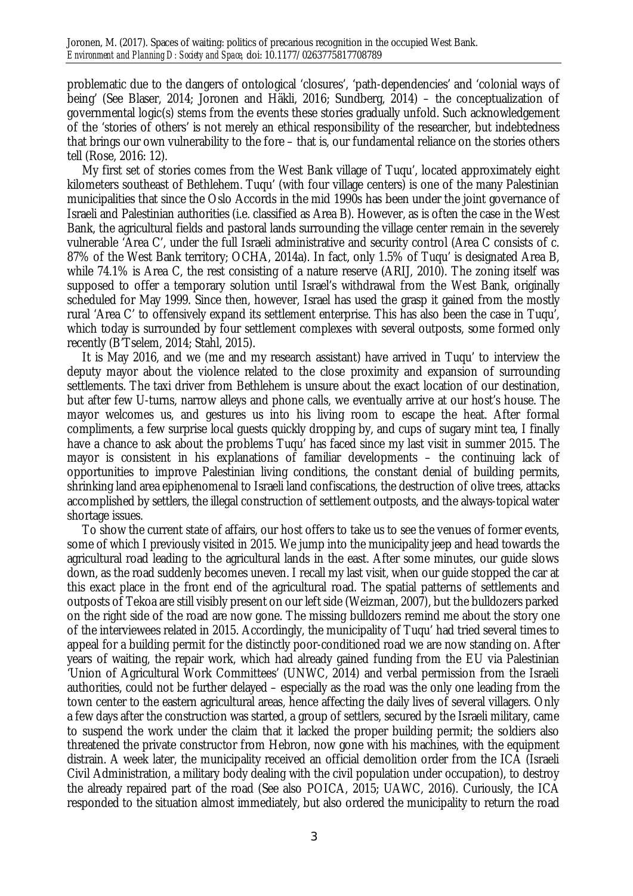problematic due to the dangers of ontological 'closures', 'path-dependencies' and 'colonial ways of being' (See Blaser, 2014; Joronen and Häkli, 2016; Sundberg, 2014) – the conceptualization of governmental logic(s) stems from the events these stories gradually unfold. Such acknowledgement of the 'stories of others' is not merely an ethical responsibility of the researcher, but indebtedness that brings our own vulnerability to the fore – that is, our fundamental reliance on the stories others tell (Rose, 2016: 12).

My first set of stories comes from the West Bank village of Tuqu', located approximately eight kilometers southeast of Bethlehem. Tuqu' (with four village centers) is one of the many Palestinian municipalities that since the Oslo Accords in the mid 1990s has been under the joint governance of Israeli and Palestinian authorities (i.e. classified as Area B). However, as is often the case in the West Bank, the agricultural fields and pastoral lands surrounding the village center remain in the severely vulnerable 'Area C', under the full Israeli administrative and security control (Area C consists of c. 87% of the West Bank territory; OCHA, 2014a). In fact, only 1.5% of Tuqu' is designated Area B, while 74.1% is Area C, the rest consisting of a nature reserve (ARIJ, 2010). The zoning itself was supposed to offer a temporary solution until Israel's withdrawal from the West Bank, originally scheduled for May 1999. Since then, however, Israel has used the grasp it gained from the mostly rural 'Area C' to offensively expand its settlement enterprise. This has also been the case in Tuqu', which today is surrounded by four settlement complexes with several outposts, some formed only recently (B'Tselem, 2014; Stahl, 2015).

It is May 2016, and we (me and my research assistant) have arrived in Tuqu' to interview the deputy mayor about the violence related to the close proximity and expansion of surrounding settlements. The taxi driver from Bethlehem is unsure about the exact location of our destination, but after few U-turns, narrow alleys and phone calls, we eventually arrive at our host's house. The mayor welcomes us, and gestures us into his living room to escape the heat. After formal compliments, a few surprise local guests quickly dropping by, and cups of sugary mint tea, I finally have a chance to ask about the problems Tuqu' has faced since my last visit in summer 2015. The mayor is consistent in his explanations of familiar developments – the continuing lack of opportunities to improve Palestinian living conditions, the constant denial of building permits, shrinking land area epiphenomenal to Israeli land confiscations, the destruction of olive trees, attacks accomplished by settlers, the illegal construction of settlement outposts, and the always-topical water shortage issues.

To show the current state of affairs, our host offers to take us to see the venues of former events, some of which I previously visited in 2015. We jump into the municipality jeep and head towards the agricultural road leading to the agricultural lands in the east. After some minutes, our guide slows down, as the road suddenly becomes uneven. I recall my last visit, when our guide stopped the car at this exact place in the front end of the agricultural road. The spatial patterns of settlements and outposts of Tekoa are still visibly present on our left side (Weizman, 2007), but the bulldozers parked on the right side of the road are now gone. The missing bulldozers remind me about the story one of the interviewees related in 2015. Accordingly, the municipality of Tuqu' had tried several times to appeal for a building permit for the distinctly poor-conditioned road we are now standing on. After years of waiting, the repair work, which had already gained funding from the EU via Palestinian 'Union of Agricultural Work Committees' (UNWC, 2014) and verbal permission from the Israeli authorities, could not be further delayed – especially as the road was the only one leading from the town center to the eastern agricultural areas, hence affecting the daily lives of several villagers. Only a few days after the construction was started, a group of settlers, secured by the Israeli military, came to suspend the work under the claim that it lacked the proper building permit; the soldiers also threatened the private constructor from Hebron, now gone with his machines, with the equipment distrain. A week later, the municipality received an official demolition order from the ICA (Israeli Civil Administration, a military body dealing with the civil population under occupation), to destroy the already repaired part of the road (See also POICA, 2015; UAWC, 2016). Curiously, the ICA responded to the situation almost immediately, but also ordered the municipality to return the road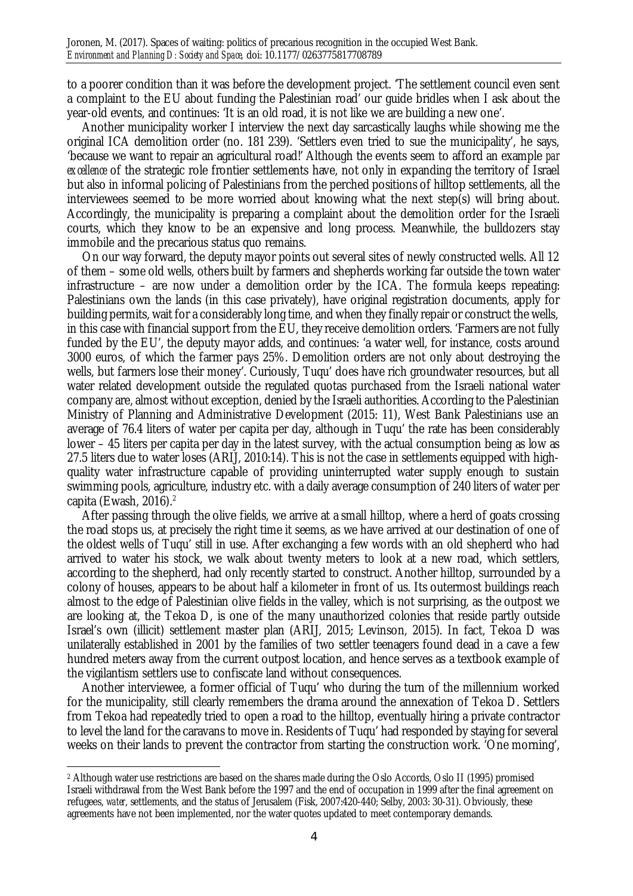to a poorer condition than it was before the development project. 'The settlement council even sent a complaint to the EU about funding the Palestinian road' our guide bridles when I ask about the year-old events, and continues: 'It is an old road, it is not like we are building a new one'.

Another municipality worker I interview the next day sarcastically laughs while showing me the original ICA demolition order (no. 181 239). 'Settlers even tried to sue the municipality', he says, 'because we want to repair an agricultural road!' Although the events seem to afford an example *par excellence* of the strategic role frontier settlements have, not only in expanding the territory of Israel but also in informal policing of Palestinians from the perched positions of hilltop settlements, all the interviewees seemed to be more worried about knowing what the next step(s) will bring about. Accordingly, the municipality is preparing a complaint about the demolition order for the Israeli courts, which they know to be an expensive and long process. Meanwhile, the bulldozers stay immobile and the precarious status quo remains.

On our way forward, the deputy mayor points out several sites of newly constructed wells. All 12 of them – some old wells, others built by farmers and shepherds working far outside the town water infrastructure – are now under a demolition order by the ICA. The formula keeps repeating: Palestinians own the lands (in this case privately), have original registration documents, apply for building permits, wait for a considerably long time, and when they finally repair or construct the wells, in this case with financial support from the EU, they receive demolition orders. 'Farmers are not fully funded by the EU', the deputy mayor adds, and continues: 'a water well, for instance, costs around 3000 euros, of which the farmer pays 25%. Demolition orders are not only about destroying the wells, but farmers lose their money'. Curiously, Tuqu' does have rich groundwater resources, but all water related development outside the regulated quotas purchased from the Israeli national water company are, almost without exception, denied by the Israeli authorities. According to the Palestinian Ministry of Planning and Administrative Development (2015: 11), West Bank Palestinians use an average of 76.4 liters of water per capita per day, although in Tuqu' the rate has been considerably lower – 45 liters per capita per day in the latest survey, with the actual consumption being as low as 27.5 liters due to water loses (ARIJ, 2010:14). This is not the case in settlements equipped with highquality water infrastructure capable of providing uninterrupted water supply enough to sustain swimming pools, agriculture, industry etc. with a daily average consumption of 240 liters of water per capita (Ewash,  $2016$ ).<sup>2</sup>

After passing through the olive fields, we arrive at a small hilltop, where a herd of goats crossing the road stops us, at precisely the right time it seems, as we have arrived at our destination of one of the oldest wells of Tuqu' still in use. After exchanging a few words with an old shepherd who had arrived to water his stock, we walk about twenty meters to look at a new road, which settlers, according to the shepherd, had only recently started to construct. Another hilltop, surrounded by a colony of houses, appears to be about half a kilometer in front of us. Its outermost buildings reach almost to the edge of Palestinian olive fields in the valley, which is not surprising, as the outpost we are looking at, the Tekoa D, is one of the many unauthorized colonies that reside partly outside Israel's own (illicit) settlement master plan (ARIJ, 2015; Levinson, 2015). In fact, Tekoa D was unilaterally established in 2001 by the families of two settler teenagers found dead in a cave a few hundred meters away from the current outpost location, and hence serves as a textbook example of the vigilantism settlers use to confiscate land without consequences.

Another interviewee, a former official of Tuqu' who during the turn of the millennium worked for the municipality, still clearly remembers the drama around the annexation of Tekoa D. Settlers from Tekoa had repeatedly tried to open a road to the hilltop, eventually hiring a private contractor to level the land for the caravans to move in. Residents of Tuqu' had responded by staying for several weeks on their lands to prevent the contractor from starting the construction work. 'One morning',

<sup>2</sup> Although water use restrictions are based on the shares made during the Oslo Accords, Oslo II (1995) promised Israeli withdrawal from the West Bank before the 1997 and the end of occupation in 1999 after the final agreement on refugees, *water*, settlements, and the status of Jerusalem (Fisk, 2007:420-440; Selby, 2003: 30-31). Obviously, these agreements have not been implemented, nor the water quotes updated to meet contemporary demands.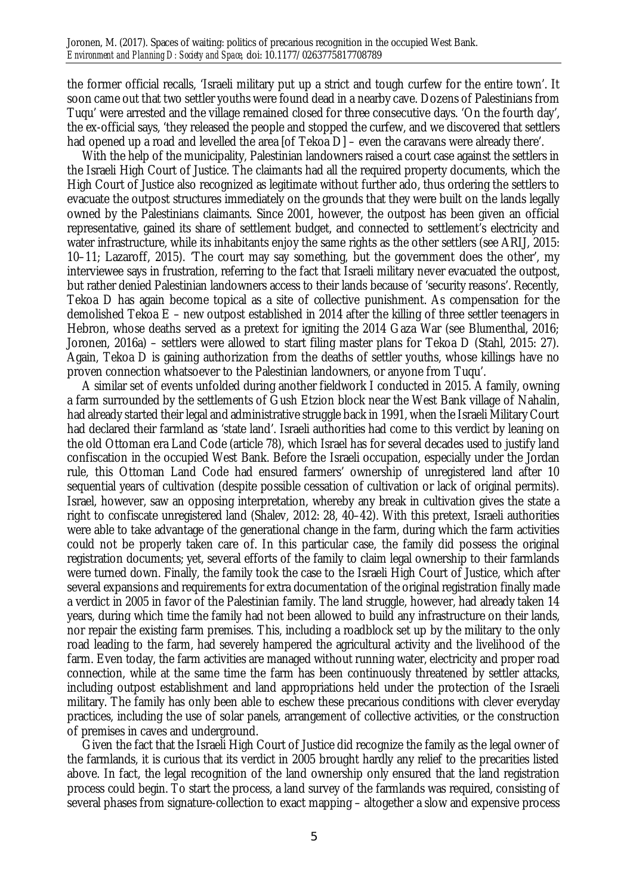the former official recalls, 'Israeli military put up a strict and tough curfew for the entire town'. It soon came out that two settler youths were found dead in a nearby cave. Dozens of Palestinians from Tuqu' were arrested and the village remained closed for three consecutive days. 'On the fourth day', the ex-official says, 'they released the people and stopped the curfew, and we discovered that settlers had opened up a road and levelled the area [of Tekoa D] – even the caravans were already there'.

With the help of the municipality, Palestinian landowners raised a court case against the settlers in the Israeli High Court of Justice. The claimants had all the required property documents, which the High Court of Justice also recognized as legitimate without further ado, thus ordering the settlers to evacuate the outpost structures immediately on the grounds that they were built on the lands legally owned by the Palestinians claimants. Since 2001, however, the outpost has been given an official representative, gained its share of settlement budget, and connected to settlement's electricity and water infrastructure, while its inhabitants enjoy the same rights as the other settlers (see ARIJ, 2015: 10–11; Lazaroff, 2015). 'The court may say something, but the government does the other', my interviewee says in frustration, referring to the fact that Israeli military never evacuated the outpost, but rather denied Palestinian landowners access to their lands because of 'security reasons'. Recently, Tekoa D has again become topical as a site of collective punishment. As compensation for the demolished Tekoa E – new outpost established in 2014 after the killing of three settler teenagers in Hebron, whose deaths served as a pretext for igniting the 2014 Gaza War (see Blumenthal, 2016; Joronen, 2016a) – settlers were allowed to start filing master plans for Tekoa D (Stahl, 2015: 27). Again, Tekoa D is gaining authorization from the deaths of settler youths, whose killings have no proven connection whatsoever to the Palestinian landowners, or anyone from Tuqu'.

A similar set of events unfolded during another fieldwork I conducted in 2015. A family, owning a farm surrounded by the settlements of Gush Etzion block near the West Bank village of Nahalin, had already started their legal and administrative struggle back in 1991, when the Israeli Military Court had declared their farmland as 'state land'. Israeli authorities had come to this verdict by leaning on the old Ottoman era Land Code (article 78), which Israel has for several decades used to justify land confiscation in the occupied West Bank. Before the Israeli occupation, especially under the Jordan rule, this Ottoman Land Code had ensured farmers' ownership of unregistered land after 10 sequential years of cultivation (despite possible cessation of cultivation or lack of original permits). Israel, however, saw an opposing interpretation, whereby any break in cultivation gives the state a right to confiscate unregistered land (Shalev, 2012: 28, 40–42). With this pretext, Israeli authorities were able to take advantage of the generational change in the farm, during which the farm activities could not be properly taken care of. In this particular case, the family did possess the original registration documents; yet, several efforts of the family to claim legal ownership to their farmlands were turned down. Finally, the family took the case to the Israeli High Court of Justice, which after several expansions and requirements for extra documentation of the original registration finally made a verdict in 2005 in favor of the Palestinian family. The land struggle, however, had already taken 14 years, during which time the family had not been allowed to build any infrastructure on their lands, nor repair the existing farm premises. This, including a roadblock set up by the military to the only road leading to the farm, had severely hampered the agricultural activity and the livelihood of the farm. Even today, the farm activities are managed without running water, electricity and proper road connection, while at the same time the farm has been continuously threatened by settler attacks, including outpost establishment and land appropriations held under the protection of the Israeli military. The family has only been able to eschew these precarious conditions with clever everyday practices, including the use of solar panels, arrangement of collective activities, or the construction of premises in caves and underground.

Given the fact that the Israeli High Court of Justice did recognize the family as the legal owner of the farmlands, it is curious that its verdict in 2005 brought hardly any relief to the precarities listed above. In fact, the legal recognition of the land ownership only ensured that the land registration process could begin. To start the process, a land survey of the farmlands was required, consisting of several phases from signature-collection to exact mapping – altogether a slow and expensive process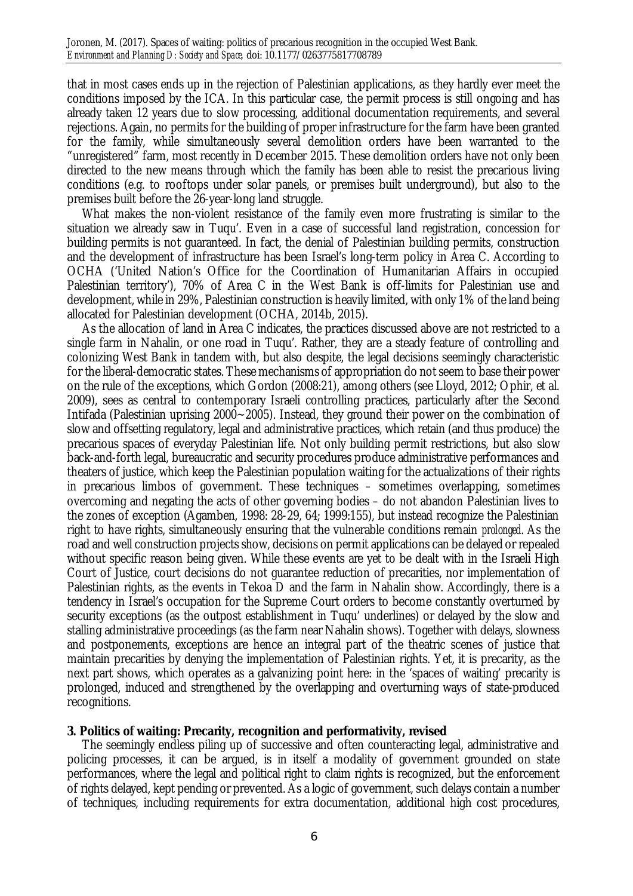that in most cases ends up in the rejection of Palestinian applications, as they hardly ever meet the conditions imposed by the ICA. In this particular case, the permit process is still ongoing and has already taken 12 years due to slow processing, additional documentation requirements, and several rejections. Again, no permits for the building of proper infrastructure for the farm have been granted for the family, while simultaneously several demolition orders have been warranted to the "unregistered" farm, most recently in December 2015. These demolition orders have not only been directed to the new means through which the family has been able to resist the precarious living conditions (e.g. to rooftops under solar panels, or premises built underground), but also to the premises built before the 26-year-long land struggle.

What makes the non-violent resistance of the family even more frustrating is similar to the situation we already saw in Tuqu'. Even in a case of successful land registration, concession for building permits is not guaranteed. In fact, the denial of Palestinian building permits, construction and the development of infrastructure has been Israel's long-term policy in Area C. According to OCHA ('United Nation's Office for the Coordination of Humanitarian Affairs in occupied Palestinian territory'), 70% of Area C in the West Bank is off-limits for Palestinian use and development, while in 29%, Palestinian construction is heavily limited, with only 1% of the land being allocated for Palestinian development (OCHA, 2014b, 2015).

As the allocation of land in Area C indicates, the practices discussed above are not restricted to a single farm in Nahalin, or one road in Tuqu'. Rather, they are a steady feature of controlling and colonizing West Bank in tandem with, but also despite, the legal decisions seemingly characteristic for the liberal-democratic states. These mechanisms of appropriation do not seem to base their power on the rule of the exceptions, which Gordon (2008:21), among others (see Lloyd, 2012; Ophir, et al. 2009), sees as central to contemporary Israeli controlling practices, particularly after the Second Intifada (Palestinian uprising 2000~2005). Instead, they ground their power on the combination of slow and offsetting regulatory, legal and administrative practices, which retain (and thus produce) the precarious spaces of everyday Palestinian life. Not only building permit restrictions, but also slow back-and-forth legal, bureaucratic and security procedures produce administrative performances and theaters of justice, which keep the Palestinian population waiting for the actualizations of their rights in precarious limbos of government. These techniques – sometimes overlapping, sometimes overcoming and negating the acts of other governing bodies – do not abandon Palestinian lives to the zones of exception (Agamben, 1998: 28-29, 64; 1999:155), but instead recognize the Palestinian right to have rights, simultaneously ensuring that the vulnerable conditions remain *prolonged*. As the road and well construction projects show, decisions on permit applications can be delayed or repealed without specific reason being given. While these events are yet to be dealt with in the Israeli High Court of Justice, court decisions do not guarantee reduction of precarities, nor implementation of Palestinian rights, as the events in Tekoa D and the farm in Nahalin show. Accordingly, there is a tendency in Israel's occupation for the Supreme Court orders to become constantly overturned by security exceptions (as the outpost establishment in Tuqu' underlines) or delayed by the slow and stalling administrative proceedings (as the farm near Nahalin shows). Together with delays, slowness and postponements, exceptions are hence an integral part of the theatric scenes of justice that maintain precarities by denying the implementation of Palestinian rights. Yet, it is precarity, as the next part shows, which operates as a galvanizing point here: in the 'spaces of waiting' precarity is prolonged, induced and strengthened by the overlapping and overturning ways of state-produced recognitions.

### **3. Politics of waiting: Precarity, recognition and performativity, revised**

The seemingly endless piling up of successive and often counteracting legal, administrative and policing processes, it can be argued, is in itself a modality of government grounded on state performances, where the legal and political right to claim rights is recognized, but the enforcement of rights delayed, kept pending or prevented. As a logic of government, such delays contain a number of techniques, including requirements for extra documentation, additional high cost procedures,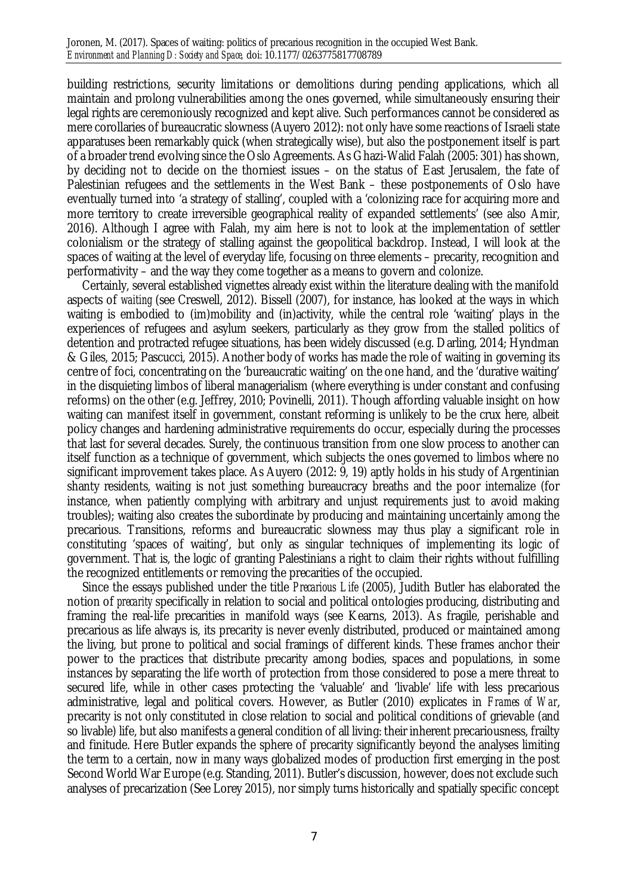building restrictions, security limitations or demolitions during pending applications, which all maintain and prolong vulnerabilities among the ones governed, while simultaneously ensuring their legal rights are ceremoniously recognized and kept alive. Such performances cannot be considered as mere corollaries of bureaucratic slowness (Auyero 2012): not only have some reactions of Israeli state apparatuses been remarkably quick (when strategically wise), but also the postponement itself is part of a broader trend evolving since the Oslo Agreements. As Ghazi-Walid Falah (2005: 301) has shown, by deciding not to decide on the thorniest issues – on the status of East Jerusalem, the fate of Palestinian refugees and the settlements in the West Bank – these postponements of Oslo have eventually turned into 'a strategy of stalling', coupled with a 'colonizing race for acquiring more and more territory to create irreversible geographical reality of expanded settlements' (see also Amir, 2016). Although I agree with Falah, my aim here is not to look at the implementation of settler colonialism or the strategy of stalling against the geopolitical backdrop. Instead, I will look at the spaces of waiting at the level of everyday life, focusing on three elements – precarity, recognition and performativity – and the way they come together as a means to govern and colonize.

Certainly, several established vignettes already exist within the literature dealing with the manifold aspects of *waiting* (see Creswell, 2012). Bissell (2007), for instance, has looked at the ways in which waiting is embodied to (im)mobility and (in)activity, while the central role 'waiting' plays in the experiences of refugees and asylum seekers, particularly as they grow from the stalled politics of detention and protracted refugee situations, has been widely discussed (e.g. Darling, 2014; Hyndman & Giles, 2015; Pascucci, 2015). Another body of works has made the role of waiting in governing its centre of foci, concentrating on the 'bureaucratic waiting' on the one hand, and the 'durative waiting' in the disquieting limbos of liberal managerialism (where everything is under constant and confusing reforms) on the other (e.g. Jeffrey, 2010; Povinelli, 2011). Though affording valuable insight on how waiting can manifest itself in government, constant reforming is unlikely to be the crux here, albeit policy changes and hardening administrative requirements do occur, especially during the processes that last for several decades. Surely, the continuous transition from one slow process to another can itself function as a technique of government, which subjects the ones governed to limbos where no significant improvement takes place. As Auyero (2012: 9, 19) aptly holds in his study of Argentinian shanty residents, waiting is not just something bureaucracy breaths and the poor internalize (for instance, when patiently complying with arbitrary and unjust requirements just to avoid making troubles); waiting also creates the subordinate by producing and maintaining uncertainly among the precarious. Transitions, reforms and bureaucratic slowness may thus play a significant role in constituting 'spaces of waiting', but only as singular techniques of implementing its logic of government. That is, the logic of granting Palestinians a right to claim their rights without fulfilling the recognized entitlements or removing the precarities of the occupied.

Since the essays published under the title *Precarious Life* (2005), Judith Butler has elaborated the notion of *precarity* specifically in relation to social and political ontologies producing, distributing and framing the real-life precarities in manifold ways (see Kearns, 2013). As fragile, perishable and precarious as life always is, its precarity is never evenly distributed, produced or maintained among the living, but prone to political and social framings of different kinds. These frames anchor their power to the practices that distribute precarity among bodies, spaces and populations, in some instances by separating the life worth of protection from those considered to pose a mere threat to secured life, while in other cases protecting the 'valuable' and 'livable' life with less precarious administrative, legal and political covers. However, as Butler (2010) explicates in *Frames of War*, precarity is not only constituted in close relation to social and political conditions of grievable (and so livable) life, but also manifests a general condition of all living: their inherent precariousness, frailty and finitude. Here Butler expands the sphere of precarity significantly beyond the analyses limiting the term to a certain, now in many ways globalized modes of production first emerging in the post Second World War Europe (e.g. Standing, 2011). Butler's discussion, however, does not exclude such analyses of precarization (See Lorey 2015), nor simply turns historically and spatially specific concept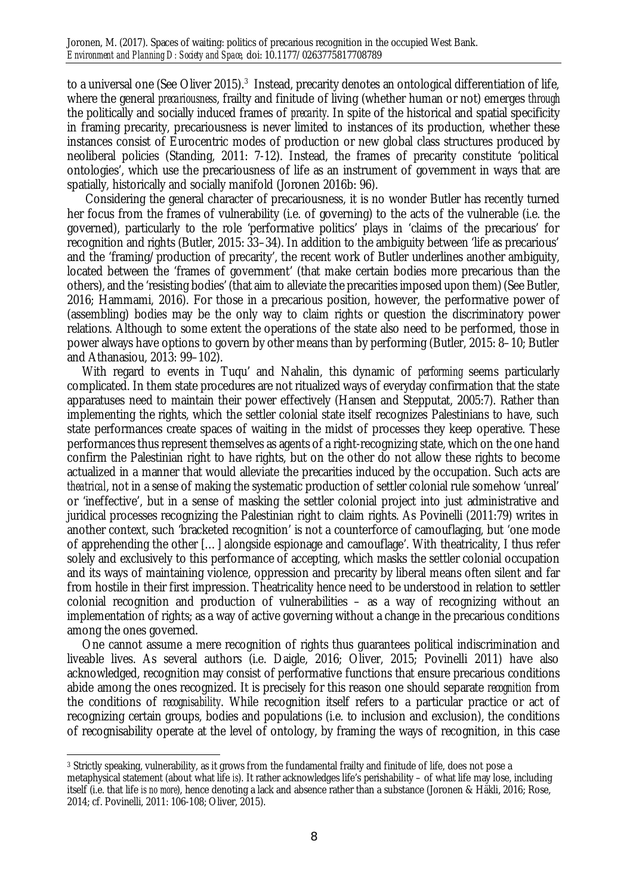to a universal one (See Oliver 2015).<sup>3</sup> Instead, precarity denotes an ontological differentiation of life, where the general *precariousness*, frailty and finitude of living (whether human or not) emerges *through* the politically and socially induced frames of *precarity*. In spite of the historical and spatial specificity in framing precarity, precariousness is never limited to instances of its production, whether these instances consist of Eurocentric modes of production or new global class structures produced by neoliberal policies (Standing, 2011: 7-12). Instead, the frames of precarity constitute 'political ontologies', which use the precariousness of life as an instrument of government in ways that are spatially, historically and socially manifold (Joronen 2016b: 96).

 Considering the general character of precariousness, it is no wonder Butler has recently turned her focus from the frames of vulnerability (i.e. of governing) to the acts of the vulnerable (i.e. the governed), particularly to the role 'performative politics' plays in 'claims of the precarious' for recognition and rights (Butler, 2015: 33–34). In addition to the ambiguity between 'life as precarious' and the 'framing/production of precarity', the recent work of Butler underlines another ambiguity, located between the 'frames of government' (that make certain bodies more precarious than the others), and the 'resisting bodies' (that aim to alleviate the precarities imposed upon them) (See Butler, 2016; Hammami, 2016). For those in a precarious position, however, the performative power of (assembling) bodies may be the only way to claim rights or question the discriminatory power relations. Although to some extent the operations of the state also need to be performed, those in power always have options to govern by other means than by performing (Butler, 2015: 8–10; Butler and Athanasiou, 2013: 99–102).

With regard to events in Tuqu' and Nahalin, this dynamic of *performing* seems particularly complicated. In them state procedures are not ritualized ways of everyday confirmation that the state apparatuses need to maintain their power effectively (Hansen and Stepputat, 2005:7). Rather than implementing the rights, which the settler colonial state itself recognizes Palestinians to have, such state performances create spaces of waiting in the midst of processes they keep operative. These performances thus represent themselves as agents of a right-recognizing state, which on the one hand confirm the Palestinian right to have rights, but on the other do not allow these rights to become actualized in a manner that would alleviate the precarities induced by the occupation. Such acts are *theatrical*, not in a sense of making the systematic production of settler colonial rule somehow 'unreal' or 'ineffective', but in a sense of masking the settler colonial project into just administrative and juridical processes recognizing the Palestinian right to claim rights. As Povinelli (2011:79) writes in another context, such 'bracketed recognition' is not a counterforce of camouflaging, but 'one mode of apprehending the other […] alongside espionage and camouflage'. With theatricality, I thus refer solely and exclusively to this performance of accepting, which masks the settler colonial occupation and its ways of maintaining violence, oppression and precarity by liberal means often silent and far from hostile in their first impression. Theatricality hence need to be understood in relation to settler colonial recognition and production of vulnerabilities – as a way of recognizing without an implementation of rights; as a way of active governing without a change in the precarious conditions among the ones governed.

One cannot assume a mere recognition of rights thus guarantees political indiscrimination and liveable lives. As several authors (i.e. Daigle, 2016; Oliver, 2015; Povinelli 2011) have also acknowledged, recognition may consist of performative functions that ensure precarious conditions abide among the ones recognized. It is precisely for this reason one should separate *recognition* from the conditions of *recognisability*. While recognition itself refers to a particular practice or act of recognizing certain groups, bodies and populations (i.e. to inclusion and exclusion), the conditions of recognisability operate at the level of ontology, by framing the ways of recognition, in this case

<sup>3</sup> Strictly speaking, vulnerability, as it grows from the fundamental frailty and finitude of life, does not pose a metaphysical statement (about what life *is*). It rather acknowledges life's perishability – of what life may lose, including itself (i.e. that life *is no more*), hence denoting a lack and absence rather than a substance (Joronen & Häkli, 2016; Rose, 2014; cf. Povinelli, 2011: 106-108; Oliver, 2015).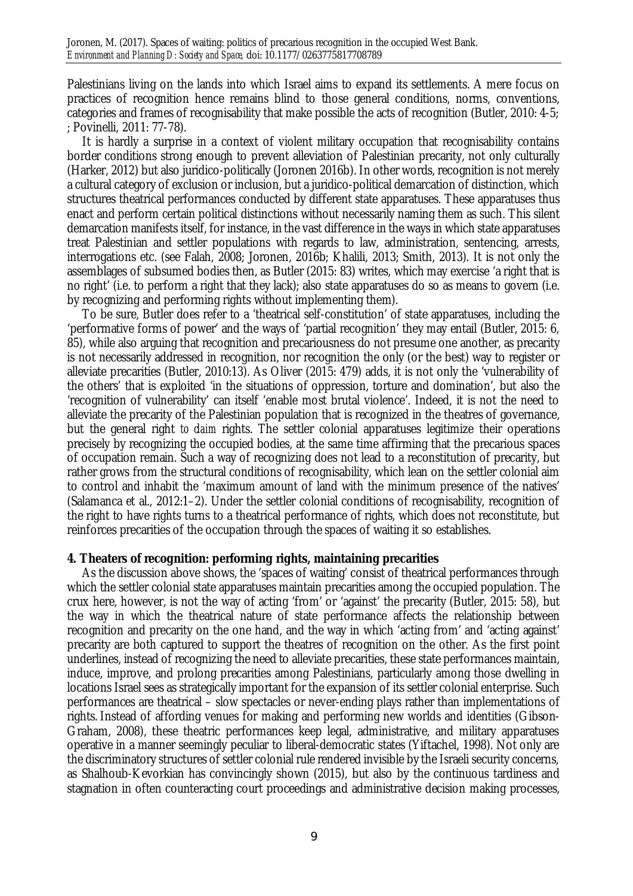Palestinians living on the lands into which Israel aims to expand its settlements. A mere focus on practices of recognition hence remains blind to those general conditions, norms, conventions, categories and frames of recognisability that make possible the acts of recognition (Butler, 2010: 4-5; ; Povinelli, 2011: 77-78).

It is hardly a surprise in a context of violent military occupation that recognisability contains border conditions strong enough to prevent alleviation of Palestinian precarity, not only culturally (Harker, 2012) but also juridico-politically (Joronen 2016b). In other words, recognition is not merely a cultural category of exclusion or inclusion, but a juridico-political demarcation of distinction, which structures theatrical performances conducted by different state apparatuses. These apparatuses thus enact and perform certain political distinctions without necessarily naming them as such. This silent demarcation manifests itself, for instance, in the vast difference in the ways in which state apparatuses treat Palestinian and settler populations with regards to law, administration, sentencing, arrests, interrogations etc. (see Falah, 2008; Joronen, 2016b; Khalili, 2013; Smith, 2013). It is not only the assemblages of subsumed bodies then, as Butler (2015: 83) writes, which may exercise 'a right that is no right' (i.e. to perform a right that they lack); also state apparatuses do so as means to govern (i.e. by recognizing and performing rights without implementing them).

To be sure, Butler does refer to a 'theatrical self-constitution' of state apparatuses, including the 'performative forms of power' and the ways of 'partial recognition' they may entail (Butler, 2015: 6, 85), while also arguing that recognition and precariousness do not presume one another, as precarity is not necessarily addressed in recognition, nor recognition the only (or the best) way to register or alleviate precarities (Butler, 2010:13). As Oliver (2015: 479) adds, it is not only the 'vulnerability of the others' that is exploited 'in the situations of oppression, torture and domination', but also the 'recognition of vulnerability' can itself 'enable most brutal violence'. Indeed, it is not the need to alleviate the precarity of the Palestinian population that is recognized in the theatres of governance, but the general right *to claim* rights. The settler colonial apparatuses legitimize their operations precisely by recognizing the occupied bodies, at the same time affirming that the precarious spaces of occupation remain. Such a way of recognizing does not lead to a reconstitution of precarity, but rather grows from the structural conditions of recognisability, which lean on the settler colonial aim to control and inhabit the 'maximum amount of land with the minimum presence of the natives' (Salamanca et al., 2012:1–2). Under the settler colonial conditions of recognisability, recognition of the right to have rights turns to a theatrical performance of rights, which does not reconstitute, but reinforces precarities of the occupation through the spaces of waiting it so establishes.

### **4. Theaters of recognition: performing rights, maintaining precarities**

As the discussion above shows, the 'spaces of waiting' consist of theatrical performances through which the settler colonial state apparatuses maintain precarities among the occupied population. The crux here, however, is not the way of acting 'from' or 'against' the precarity (Butler, 2015: 58), but the way in which the theatrical nature of state performance affects the relationship between recognition and precarity on the one hand, and the way in which 'acting from' and 'acting against' precarity are both captured to support the theatres of recognition on the other. As the first point underlines, instead of recognizing the need to alleviate precarities, these state performances maintain, induce, improve, and prolong precarities among Palestinians, particularly among those dwelling in locations Israel sees as strategically important for the expansion of its settler colonial enterprise. Such performances are theatrical – slow spectacles or never-ending plays rather than implementations of rights. Instead of affording venues for making and performing new worlds and identities (Gibson-Graham, 2008), these theatric performances keep legal, administrative, and military apparatuses operative in a manner seemingly peculiar to liberal-democratic states (Yiftachel, 1998). Not only are the discriminatory structures of settler colonial rule rendered invisible by the Israeli security concerns, as Shalhoub-Kevorkian has convincingly shown (2015), but also by the continuous tardiness and stagnation in often counteracting court proceedings and administrative decision making processes,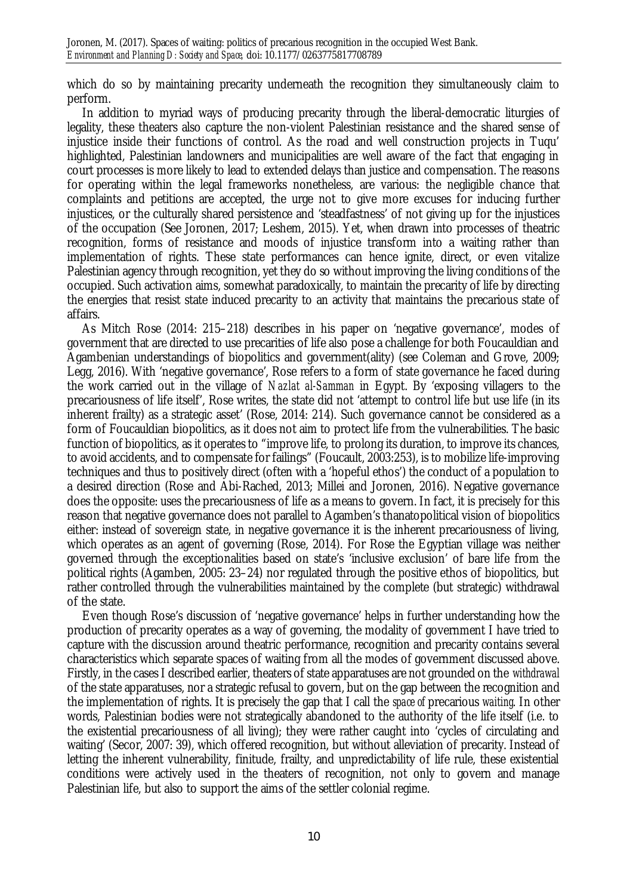which do so by maintaining precarity underneath the recognition they simultaneously claim to perform.

In addition to myriad ways of producing precarity through the liberal-democratic liturgies of legality, these theaters also capture the non-violent Palestinian resistance and the shared sense of injustice inside their functions of control. As the road and well construction projects in Tuqu' highlighted, Palestinian landowners and municipalities are well aware of the fact that engaging in court processes is more likely to lead to extended delays than justice and compensation. The reasons for operating within the legal frameworks nonetheless, are various: the negligible chance that complaints and petitions are accepted, the urge not to give more excuses for inducing further injustices, or the culturally shared persistence and 'steadfastness' of not giving up for the injustices of the occupation (See Joronen, 2017; Leshem, 2015). Yet, when drawn into processes of theatric recognition, forms of resistance and moods of injustice transform into a waiting rather than implementation of rights. These state performances can hence ignite, direct, or even vitalize Palestinian agency through recognition, yet they do so without improving the living conditions of the occupied. Such activation aims, somewhat paradoxically, to maintain the precarity of life by directing the energies that resist state induced precarity to an activity that maintains the precarious state of affairs.

As Mitch Rose (2014: 215–218) describes in his paper on 'negative governance', modes of government that are directed to use precarities of life also pose a challenge for both Foucauldian and Agambenian understandings of biopolitics and government(ality) (see Coleman and Grove, 2009; Legg, 2016). With 'negative governance', Rose refers to a form of state governance he faced during the work carried out in the village of *Nazlat al-Samman* in Egypt. By 'exposing villagers to the precariousness of life itself', Rose writes, the state did not 'attempt to control life but use life (in its inherent frailty) as a strategic asset' (Rose, 2014: 214). Such governance cannot be considered as a form of Foucauldian biopolitics, as it does not aim to protect life from the vulnerabilities. The basic function of biopolitics, as it operates to "improve life, to prolong its duration, to improve its chances, to avoid accidents, and to compensate for failings" (Foucault, 2003:253), is to mobilize life-improving techniques and thus to positively direct (often with a 'hopeful ethos') the conduct of a population to a desired direction (Rose and Abi-Rached, 2013; Millei and Joronen, 2016). Negative governance does the opposite: uses the precariousness of life as a means to govern. In fact, it is precisely for this reason that negative governance does not parallel to Agamben's thanatopolitical vision of biopolitics either: instead of sovereign state, in negative governance it is the inherent precariousness of living, which operates as an agent of governing (Rose, 2014). For Rose the Egyptian village was neither governed through the exceptionalities based on state's 'inclusive exclusion' of bare life from the political rights (Agamben, 2005: 23–24) nor regulated through the positive ethos of biopolitics, but rather controlled through the vulnerabilities maintained by the complete (but strategic) withdrawal of the state.

Even though Rose's discussion of 'negative governance' helps in further understanding how the production of precarity operates as a way of governing, the modality of government I have tried to capture with the discussion around theatric performance, recognition and precarity contains several characteristics which separate spaces of waiting from all the modes of government discussed above. Firstly, in the cases I described earlier, theaters of state apparatuses are not grounded on the *withdrawal* of the state apparatuses, nor a strategic refusal to govern, but on the gap between the recognition and the implementation of rights. It is precisely the gap that I call the *space of* precarious *waiting*. In other words, Palestinian bodies were not strategically abandoned to the authority of the life itself (i.e. to the existential precariousness of all living); they were rather caught into 'cycles of circulating and waiting' (Secor, 2007: 39), which offered recognition, but without alleviation of precarity. Instead of letting the inherent vulnerability, finitude, frailty, and unpredictability of life rule, these existential conditions were actively used in the theaters of recognition, not only to govern and manage Palestinian life, but also to support the aims of the settler colonial regime.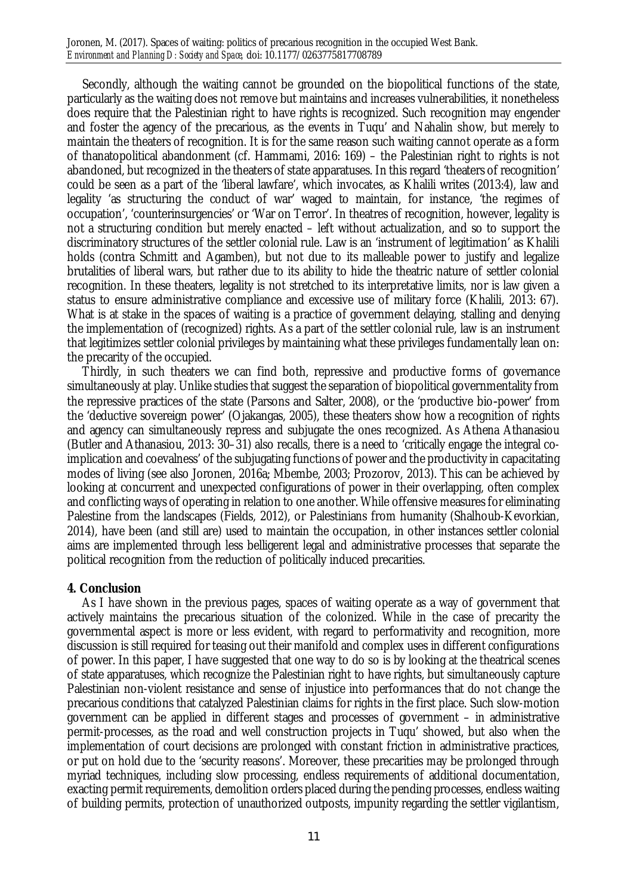Secondly, although the waiting cannot be grounded on the biopolitical functions of the state, particularly as the waiting does not remove but maintains and increases vulnerabilities, it nonetheless does require that the Palestinian right to have rights is recognized. Such recognition may engender and foster the agency of the precarious, as the events in Tuqu' and Nahalin show, but merely to maintain the theaters of recognition. It is for the same reason such waiting cannot operate as a form of thanatopolitical abandonment (cf. Hammami, 2016: 169) – the Palestinian right to rights is not abandoned, but recognized in the theaters of state apparatuses. In this regard 'theaters of recognition' could be seen as a part of the 'liberal lawfare', which invocates, as Khalili writes (2013:4), law and legality 'as structuring the conduct of war' waged to maintain, for instance, 'the regimes of occupation', 'counterinsurgencies' or 'War on Terror'. In theatres of recognition, however, legality is not a structuring condition but merely enacted – left without actualization, and so to support the discriminatory structures of the settler colonial rule. Law is an 'instrument of legitimation' as Khalili holds (contra Schmitt and Agamben), but not due to its malleable power to justify and legalize brutalities of liberal wars, but rather due to its ability to hide the theatric nature of settler colonial recognition. In these theaters, legality is not stretched to its interpretative limits, nor is law given a status to ensure administrative compliance and excessive use of military force (Khalili, 2013: 67). What is at stake in the spaces of waiting is a practice of government delaying, stalling and denying the implementation of (recognized) rights. As a part of the settler colonial rule, law is an instrument that legitimizes settler colonial privileges by maintaining what these privileges fundamentally lean on: the precarity of the occupied.

Thirdly, in such theaters we can find both, repressive and productive forms of governance simultaneously at play. Unlike studies that suggest the separation of biopolitical governmentality from the repressive practices of the state (Parsons and Salter, 2008), or the 'productive bio-power' from the 'deductive sovereign power' (Ojakangas, 2005), these theaters show how a recognition of rights and agency can simultaneously repress and subjugate the ones recognized. As Athena Athanasiou (Butler and Athanasiou, 2013: 30–31) also recalls, there is a need to 'critically engage the integral coimplication and coevalness' of the subjugating functions of power and the productivity in capacitating modes of living (see also Joronen, 2016a; Mbembe, 2003; Prozorov, 2013). This can be achieved by looking at concurrent and unexpected configurations of power in their overlapping, often complex and conflicting ways of operating in relation to one another. While offensive measures for eliminating Palestine from the landscapes (Fields, 2012), or Palestinians from humanity (Shalhoub-Kevorkian, 2014), have been (and still are) used to maintain the occupation, in other instances settler colonial aims are implemented through less belligerent legal and administrative processes that separate the political recognition from the reduction of politically induced precarities.

### **4. Conclusion**

As I have shown in the previous pages, spaces of waiting operate as a way of government that actively maintains the precarious situation of the colonized. While in the case of precarity the governmental aspect is more or less evident, with regard to performativity and recognition, more discussion is still required for teasing out their manifold and complex uses in different configurations of power. In this paper, I have suggested that one way to do so is by looking at the theatrical scenes of state apparatuses, which recognize the Palestinian right to have rights, but simultaneously capture Palestinian non-violent resistance and sense of injustice into performances that do not change the precarious conditions that catalyzed Palestinian claims for rights in the first place. Such slow-motion government can be applied in different stages and processes of government – in administrative permit-processes, as the road and well construction projects in Tuqu' showed, but also when the implementation of court decisions are prolonged with constant friction in administrative practices, or put on hold due to the 'security reasons'. Moreover, these precarities may be prolonged through myriad techniques, including slow processing, endless requirements of additional documentation, exacting permit requirements, demolition orders placed during the pending processes, endless waiting of building permits, protection of unauthorized outposts, impunity regarding the settler vigilantism,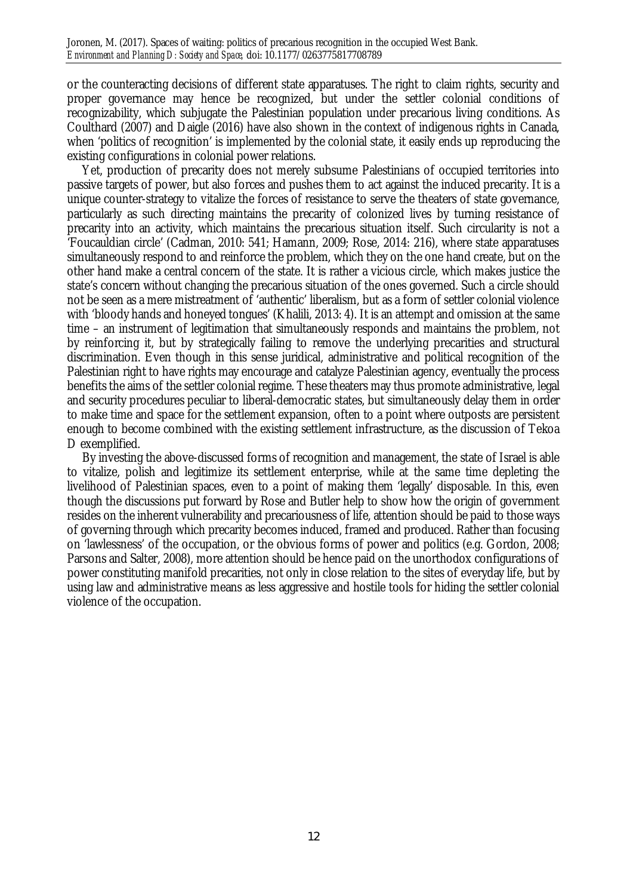or the counteracting decisions of different state apparatuses. The right to claim rights, security and proper governance may hence be recognized, but under the settler colonial conditions of recognizability, which subjugate the Palestinian population under precarious living conditions. As Coulthard (2007) and Daigle (2016) have also shown in the context of indigenous rights in Canada, when 'politics of recognition' is implemented by the colonial state, it easily ends up reproducing the existing configurations in colonial power relations.

Yet, production of precarity does not merely subsume Palestinians of occupied territories into passive targets of power, but also forces and pushes them to act against the induced precarity. It is a unique counter-strategy to vitalize the forces of resistance to serve the theaters of state governance, particularly as such directing maintains the precarity of colonized lives by turning resistance of precarity into an activity, which maintains the precarious situation itself. Such circularity is not a 'Foucauldian circle' (Cadman, 2010: 541; Hamann, 2009; Rose, 2014: 216), where state apparatuses simultaneously respond to and reinforce the problem, which they on the one hand create, but on the other hand make a central concern of the state. It is rather a vicious circle, which makes justice the state's concern without changing the precarious situation of the ones governed. Such a circle should not be seen as a mere mistreatment of 'authentic' liberalism, but as a form of settler colonial violence with 'bloody hands and honeyed tongues' (Khalili, 2013: 4). It is an attempt and omission at the same time – an instrument of legitimation that simultaneously responds and maintains the problem, not by reinforcing it, but by strategically failing to remove the underlying precarities and structural discrimination. Even though in this sense juridical, administrative and political recognition of the Palestinian right to have rights may encourage and catalyze Palestinian agency, eventually the process benefits the aims of the settler colonial regime. These theaters may thus promote administrative, legal and security procedures peculiar to liberal-democratic states, but simultaneously delay them in order to make time and space for the settlement expansion, often to a point where outposts are persistent enough to become combined with the existing settlement infrastructure, as the discussion of Tekoa D exemplified.

By investing the above-discussed forms of recognition and management, the state of Israel is able to vitalize, polish and legitimize its settlement enterprise, while at the same time depleting the livelihood of Palestinian spaces, even to a point of making them 'legally' disposable. In this, even though the discussions put forward by Rose and Butler help to show how the origin of government resides on the inherent vulnerability and precariousness of life, attention should be paid to those ways of governing through which precarity becomes induced, framed and produced. Rather than focusing on 'lawlessness' of the occupation, or the obvious forms of power and politics (e.g. Gordon, 2008; Parsons and Salter, 2008), more attention should be hence paid on the unorthodox configurations of power constituting manifold precarities, not only in close relation to the sites of everyday life, but by using law and administrative means as less aggressive and hostile tools for hiding the settler colonial violence of the occupation.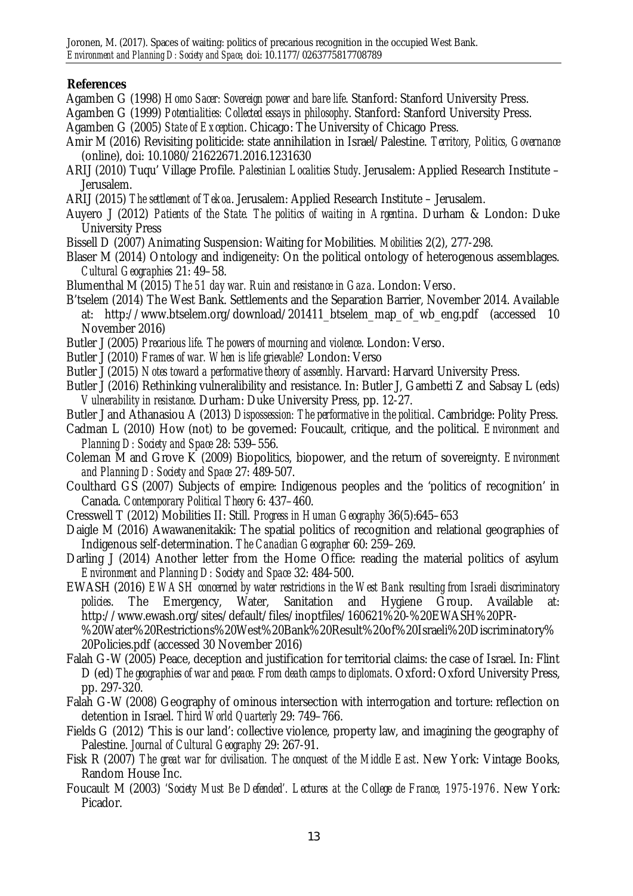**References**

- Agamben G (1998) *Homo Sacer: Sovereign power and bare life*. Stanford: Stanford University Press.
- Agamben G (1999) *Potentialities: Collected essays in philosophy*. Stanford: Stanford University Press.
- Agamben G (2005) *State of Exception*. Chicago: The University of Chicago Press.
- Amir M (2016) Revisiting politicide: state annihilation in Israel/Palestine. *Territory, Politics, Governance* (online), doi: 10.1080/21622671.2016.1231630
- ARIJ (2010) Tuqu' Village Profile. *Palestinian Localities Study*. Jerusalem: Applied Research Institute Jerusalem.
- ARIJ (2015) *The settlement of Tekoa*. Jerusalem: Applied Research Institute Jerusalem.
- Auyero J (2012) *Patients of the State. The politics of waiting in Argentina*. Durham & London: Duke University Press
- Bissell D (2007) Animating Suspension: Waiting for Mobilities. *Mobilities* 2(2), 277-298.
- Blaser M (2014) Ontology and indigeneity: On the political ontology of heterogenous assemblages. *Cultural Geographies* 21: 49–58.
- Blumenthal M (2015) *The 51 day war. Ruin and resistance in Gaza*. London: Verso.
- B'tselem (2014) The West Bank. Settlements and the Separation Barrier, November 2014. Available at: http://www.btselem.org/download/201411 btselem map of wb eng.pdf (accessed 10 November 2016)
- Butler J (2005) *Precarious life. The powers of mourning and violence*. London: Verso.
- Butler J (2010) *Frames of war. When is life grievable?* London: Verso
- Butler J (2015) *Notes toward a performative theory of assembly*. Harvard: Harvard University Press.
- Butler J (2016) Rethinking vulneralibility and resistance. In: Butler J, Gambetti Z and Sabsay L (eds) *Vulnerability in resistance*. Durham: Duke University Press, pp. 12-27.
- Butler J and Athanasiou A (2013) *Dispossession: The performative in the political*. Cambridge: Polity Press.
- Cadman L (2010) How (not) to be governed: Foucault, critique, and the political. *Environment and Planning D: Society and Space* 28: 539–556.
- Coleman M and Grove K (2009) Biopolitics, biopower, and the return of sovereignty. *Environment and Planning D: Society and Space* 27: 489-507.
- Coulthard GS (2007) Subjects of empire: Indigenous peoples and the 'politics of recognition' in Canada. *Contemporary Political Theory* 6: 437–460.
- Cresswell T (2012) Mobilities II: Still. *Progress in Human Geography* 36(5):645–653
- Daigle M (2016) Awawanenitakik: The spatial politics of recognition and relational geographies of Indigenous self-determination. *The Canadian Geographer* 60: 259–269.
- Darling J (2014) Another letter from the Home Office: reading the material politics of asylum *Environment and Planning D: Society and Space* 32: 484-500.
- EWASH (2016) *EWASH concerned by water restrictions in the West Bank resulting from Israeli discriminatory policies*. The Emergency, Water, Sanitation and Hygiene Group. Available at: http://www.ewash.org/sites/default/files/inoptfiles/160621%20-%20EWASH%20PR- %20Water%20Restrictions%20West%20Bank%20Result%20of%20Israeli%20Discriminatory%
- 20Policies.pdf (accessed 30 November 2016) Falah G-W (2005) Peace, deception and justification for territorial claims: the case of Israel. In: Flint D (ed) *The geographies of war and peace. From death camps to diplomats*. Oxford: Oxford University Press, pp. 297-320.
- Falah G-W (2008) Geography of ominous intersection with interrogation and torture: reflection on detention in Israel. *Third World Quarterly* 29: 749–766.
- Fields G (2012) 'This is our land': collective violence, property law, and imagining the geography of Palestine. *Journal of Cultural Geography* 29: 267-91.
- Fisk R (2007) *The great war for civilisation. The conquest of the Middle East*. New York: Vintage Books, Random House Inc.
- Foucault M (2003) *'Society Must Be Defended'. Lectures at the College de France, 1975-1976*. New York: Picador.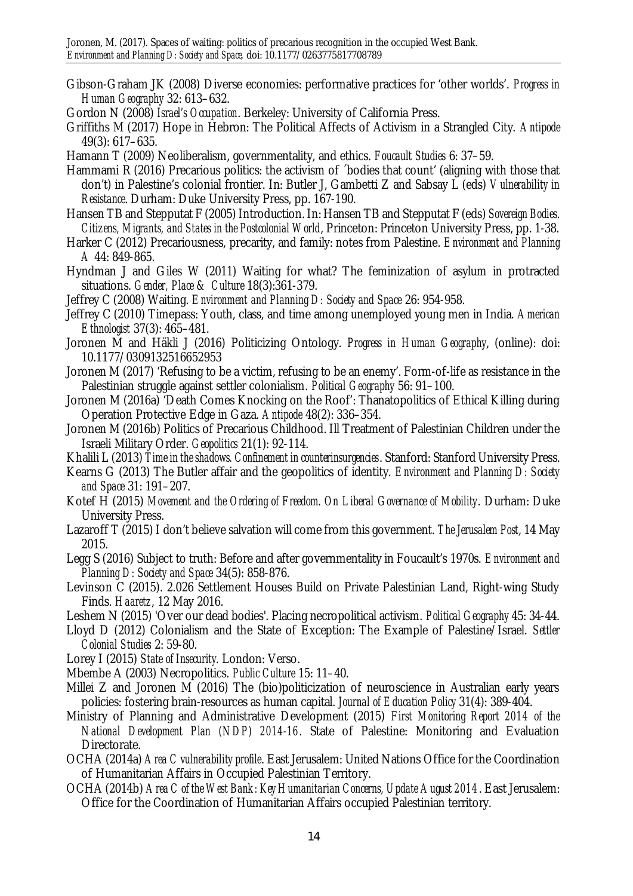Gibson-Graham JK (2008) Diverse economies: performative practices for 'other worlds'. *Progress in Human Geography* 32: 613–632.

Gordon N (2008) *Israel's Occupation*. Berkeley: University of California Press.

Griffiths M (2017) Hope in Hebron: The Political Affects of Activism in a Strangled City. *Antipode* 49(3): 617–635.

Hamann T (2009) Neoliberalism, governmentality, and ethics. *Foucault Studies* 6: 37–59.

Hammami R (2016) Precarious politics: the activism of ´bodies that count' (aligning with those that don't) in Palestine's colonial frontier. In: Butler J, Gambetti Z and Sabsay L (eds) *Vulnerability in Resistance*. Durham: Duke University Press, pp. 167-190.

Hansen TB and Stepputat F (2005) Introduction. In: Hansen TB and Stepputat F (eds) *Sovereign Bodies. Citizens, Migrants, and States in the Postcolonial World*, Princeton: Princeton University Press, pp. 1-38.

Harker C (2012) Precariousness, precarity, and family: notes from Palestine. *Environment and Planning A* 44: 849-865.

Hyndman J and Giles W (2011) Waiting for what? The feminization of asylum in protracted situations. *Gender, Place & Culture* 18(3):361-379.

Jeffrey C (2008) Waiting. *Environment and Planning D: Society and Space* 26: 954-958.

Jeffrey C (2010) Timepass: Youth, class, and time among unemployed young men in India. *American Ethnologist* 37(3): 465–481.

Joronen M and Häkli J (2016) Politicizing Ontology. *Progress in Human Geography*, (online): doi: 10.1177/0309132516652953

Joronen M (2017) 'Refusing to be a victim, refusing to be an enemy'. Form-of-life as resistance in the Palestinian struggle against settler colonialism. *Political Geography* 56: 91–100.

Joronen M (2016a) 'Death Comes Knocking on the Roof': Thanatopolitics of Ethical Killing during Operation Protective Edge in Gaza. *Antipode* 48(2): 336–354.

Joronen M (2016b) Politics of Precarious Childhood. Ill Treatment of Palestinian Children under the Israeli Military Order. *Geopolitics* 21(1): 92-114.

Khalili L (2013) *Time in the shadows. Confinement in counterinsurgencies*. Stanford: Stanford University Press.

- Kearns G (2013) The Butler affair and the geopolitics of identity. *Environment and Planning D: Society and Space* 31: 191–207.
- Kotef H (2015) *Movement and the Ordering of Freedom. On Liberal Governance of Mobility*. Durham: Duke University Press.
- Lazaroff T (2015) I don't believe salvation will come from this government. *The Jerusalem Post*, 14 May 2015.

Legg S (2016) Subject to truth: Before and after governmentality in Foucault's 1970s. *Environment and Planning D: Society and Space* 34(5): 858-876.

- Levinson C (2015). 2.026 Settlement Houses Build on Private Palestinian Land, Right-wing Study Finds. *Haaretz*, 12 May 2016.
- Leshem N (2015) 'Over our dead bodies'. Placing necropolitical activism. *Political Geography* 45: 34-44.

Lloyd D (2012) Colonialism and the State of Exception: The Example of Palestine/Israel. *Settler Colonial Studies* 2: 59-80.

Lorey I (2015) *State of Insecurity.* London: Verso.

Mbembe A (2003) Necropolitics. *Public Culture* 15: 11–40.

Millei Z and Joronen M (2016) The (bio)politicization of neuroscience in Australian early years policies: fostering brain-resources as human capital. *Journal of Education Policy* 31(4): 389-404.

Ministry of Planning and Administrative Development (2015) *First Monitoring Report 2014 of the National Development Plan (NDP) 2014-16*. State of Palestine: Monitoring and Evaluation Directorate.

OCHA (2014a) *Area C vulnerability profile*. East Jerusalem: United Nations Office for the Coordination of Humanitarian Affairs in Occupied Palestinian Territory.

OCHA (2014b) *Area C of the West Bank: Key Humanitarian Concerns, Update August 2014*. East Jerusalem: Office for the Coordination of Humanitarian Affairs occupied Palestinian territory.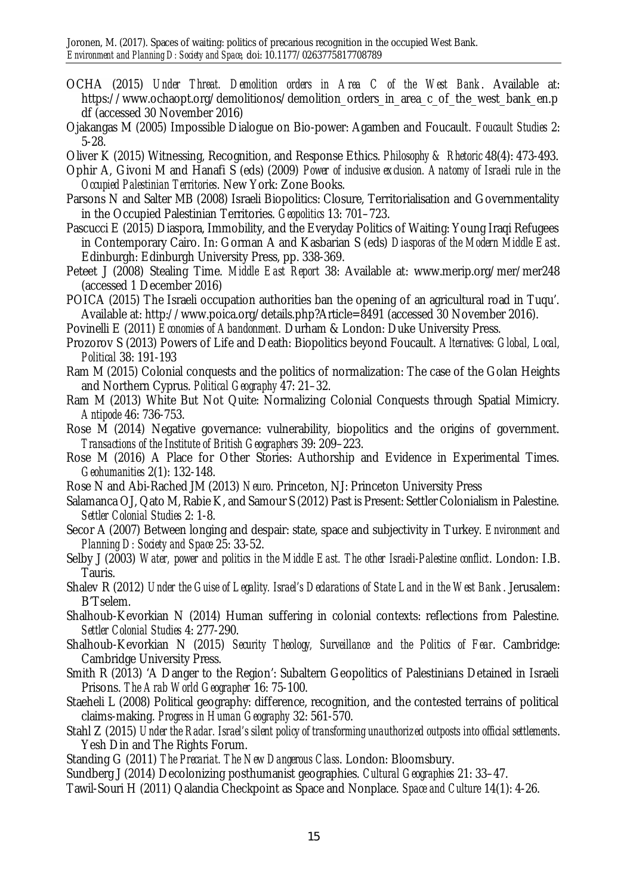- OCHA (2015) *Under Threat. Demolition orders in Area C of the West Bank*. Available at: https://www.ochaopt.org/demolitionos/demolition\_orders\_in\_area\_c\_of\_the\_west\_bank\_en.p df (accessed 30 November 2016)
- Ojakangas M (2005) Impossible Dialogue on Bio-power: Agamben and Foucault. *Foucault Studies* 2: 5-28.

Oliver K (2015) Witnessing, Recognition, and Response Ethics. *Philosophy & Rhetoric* 48(4): 473-493.

- Ophir A, Givoni M and Hanafi S (eds) (2009) *Power of inclusive exclusion. Anatomy of Israeli rule in the Occupied Palestinian Territories*. New York: Zone Books.
- Parsons N and Salter MB (2008) Israeli Biopolitics: Closure, Territorialisation and Governmentality in the Occupied Palestinian Territories. *Geopolitics* 13: 701–723.
- Pascucci E (2015) Diaspora, Immobility, and the Everyday Politics of Waiting: Young Iraqi Refugees in Contemporary Cairo. In: Gorman A and Kasbarian S (eds) *Diasporas of the Modern Middle East*. Edinburgh: Edinburgh University Press, pp. 338-369.
- Peteet J (2008) Stealing Time. *Middle East Report* 38: Available at: www.merip.org/mer/mer248 (accessed 1 December 2016)
- POICA (2015) The Israeli occupation authorities ban the opening of an agricultural road in Tuqu'. Available at: http://www.poica.org/details.php?Article=8491 (accessed 30 November 2016).
- Povinelli E (2011) *Economies of Abandonment.* Durham & London: Duke University Press.
- Prozorov S (2013) Powers of Life and Death: Biopolitics beyond Foucault. *Alternatives: Global, Local, Political* 38: 191-193
- Ram M (2015) Colonial conquests and the politics of normalization: The case of the Golan Heights and Northern Cyprus. *Political Geography* 47: 21–32.
- Ram M (2013) White But Not Quite: Normalizing Colonial Conquests through Spatial Mimicry. *Antipode* 46: 736-753.
- Rose M (2014) Negative governance: vulnerability, biopolitics and the origins of government. *Transactions of the Institute of British Geographers* 39: 209–223.
- Rose M (2016) A Place for Other Stories: Authorship and Evidence in Experimental Times. *Geohumanities* 2(1): 132-148.
- Rose N and Abi-Rached JM (2013) *Neuro*. Princeton, NJ: Princeton University Press
- Salamanca OJ, Qato M, Rabie K, and Samour S (2012) Past is Present: Settler Colonialism in Palestine. *Settler Colonial Studies* 2: 1-8.
- Secor A (2007) Between longing and despair: state, space and subjectivity in Turkey. *Environment and Planning D: Society and Space* 25: 33-52.
- Selby J (2003) *Water, power and politics in the Middle East. The other Israeli-Palestine conflict*. London: I.B. Tauris.
- Shalev R (2012) *Under the Guise of Legality. Israel's Declarations of State Land in the West Bank*. Jerusalem: B'Tselem.
- Shalhoub-Kevorkian N (2014) Human suffering in colonial contexts: reflections from Palestine. *Settler Colonial Studies* 4: 277-290.
- Shalhoub-Kevorkian N (2015) *Security Theology, Surveillance and the Politics of Fear*. Cambridge: Cambridge University Press.
- Smith R (2013) 'A Danger to the Region': Subaltern Geopolitics of Palestinians Detained in Israeli Prisons. *The Arab World Geographer* 16: 75-100.
- Staeheli L (2008) Political geography: difference, recognition, and the contested terrains of political claims-making. *Progress in Human Geography* 32: 561-570.
- Stahl Z (2015) *Under the Radar. Israel's silent policy of transforming unauthorized outposts into official settlements*. Yesh Din and The Rights Forum.
- Standing G (2011) *The Precariat. The New Dangerous Class*. London: Bloomsbury.
- Sundberg J (2014) Decolonizing posthumanist geographies. *Cultural Geographies* 21: 33–47.
- Tawil-Souri H (2011) Qalandia Checkpoint as Space and Nonplace. *Space and Culture* 14(1): 4-26.